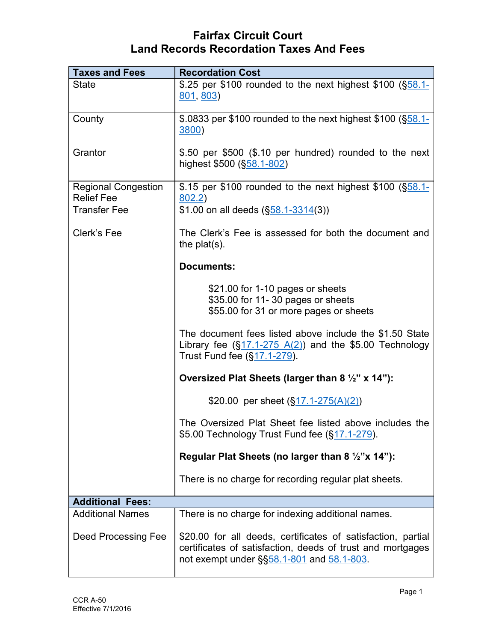| <b>Taxes and Fees</b>                           | <b>Recordation Cost</b>                                                                                                                                                 |
|-------------------------------------------------|-------------------------------------------------------------------------------------------------------------------------------------------------------------------------|
| <b>State</b>                                    | \$.25 per \$100 rounded to the next highest \$100 (\$58.1-<br>801, 803                                                                                                  |
| County                                          | \$.0833 per \$100 rounded to the next highest \$100 (§58.1-<br><b>3800)</b>                                                                                             |
| Grantor                                         | \$.50 per \$500 (\$.10 per hundred) rounded to the next<br>highest \$500 (§58.1-802)                                                                                    |
| <b>Regional Congestion</b><br><b>Relief Fee</b> | \$.15 per \$100 rounded to the next highest \$100 (\$58.1-<br>802.2)                                                                                                    |
| <b>Transfer Fee</b>                             | \$1.00 on all deeds (\$58.1-3314(3))                                                                                                                                    |
| Clerk's Fee                                     | The Clerk's Fee is assessed for both the document and<br>the $plat(s)$ .                                                                                                |
|                                                 | <b>Documents:</b>                                                                                                                                                       |
|                                                 | \$21.00 for 1-10 pages or sheets<br>\$35.00 for 11-30 pages or sheets<br>\$55.00 for 31 or more pages or sheets                                                         |
|                                                 | The document fees listed above include the \$1.50 State<br>Library fee $(\frac{517.1-275 \text{ A}(2))}{4}$ and the \$5.00 Technology<br>Trust Fund fee (§17.1-279).    |
|                                                 | Oversized Plat Sheets (larger than 8 $\frac{1}{2}$ " x 14"):                                                                                                            |
|                                                 | \$20.00 per sheet $(\frac{517.1-275(A)(2)}{2})$                                                                                                                         |
|                                                 | The Oversized Plat Sheet fee listed above includes the<br>\$5.00 Technology Trust Fund fee (§17.1-279).                                                                 |
|                                                 | Regular Plat Sheets (no larger than 8 $\frac{1}{2}$ "x 14"):                                                                                                            |
|                                                 | There is no charge for recording regular plat sheets.                                                                                                                   |
| <b>Additional Fees:</b>                         |                                                                                                                                                                         |
| <b>Additional Names</b>                         | There is no charge for indexing additional names.                                                                                                                       |
| <b>Deed Processing Fee</b>                      | \$20.00 for all deeds, certificates of satisfaction, partial<br>certificates of satisfaction, deeds of trust and mortgages<br>not exempt under §§58.1-801 and 58.1-803. |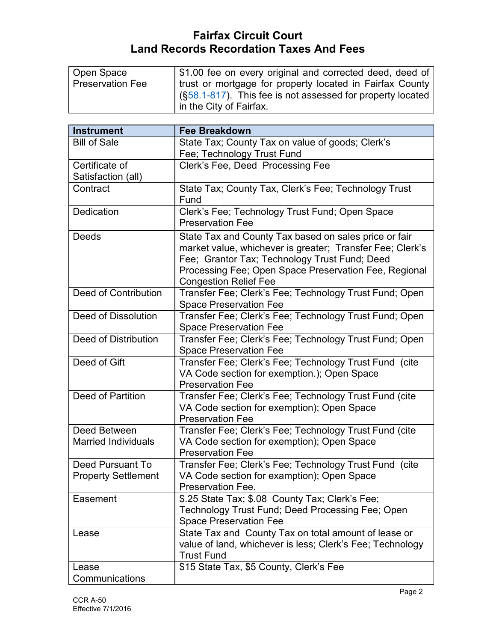| \$1.00 fee on every original and corrected deed, deed of   |
|------------------------------------------------------------|
| trust or mortgage for property located in Fairfax County   |
| (§58.1-817). This fee is not assessed for property located |
| in the City of Fairfax.                                    |
|                                                            |
| <b>Fee Breakdown</b>                                       |
| State Tax; County Tax on value of goods; Clerk's           |
| Fee; Technology Trust Fund                                 |
| Clerk's Fee, Deed Processing Fee                           |
|                                                            |
| State Tax; County Tax, Clerk's Fee; Technology Trust       |
| Fund                                                       |
| Clerk's Fee; Technology Trust Fund; Open Space             |
| <b>Preservation Fee</b>                                    |
| State Tax and County Tax based on sales price or fair      |
| market value, whichever is greater; Transfer Fee; Clerk's  |
| Fee; Grantor Tax; Technology Trust Fund; Deed              |
| Processing Fee; Open Space Preservation Fee, Regional      |
| <b>Congestion Relief Fee</b>                               |
| Transfer Fee; Clerk's Fee; Technology Trust Fund; Open     |
| <b>Space Preservation Fee</b>                              |
| Transfer Fee; Clerk's Fee; Technology Trust Fund; Open     |
| <b>Space Preservation Fee</b>                              |
| Transfer Fee; Clerk's Fee; Technology Trust Fund; Open     |
| <b>Space Preservation Fee</b>                              |
| Transfer Fee; Clerk's Fee; Technology Trust Fund (cite     |
| VA Code section for exemption.); Open Space                |
| <b>Preservation Fee</b>                                    |
| Transfer Fee; Clerk's Fee; Technology Trust Fund (cite     |
|                                                            |

|                            | <b>Preservation Fee</b>                                   |
|----------------------------|-----------------------------------------------------------|
| Deed of Partition          | Transfer Fee; Clerk's Fee; Technology Trust Fund (cite    |
|                            | VA Code section for exemption); Open Space                |
|                            | <b>Preservation Fee</b>                                   |
| Deed Between               | Transfer Fee; Clerk's Fee; Technology Trust Fund (cite    |
| <b>Married Individuals</b> | VA Code section for exemption); Open Space                |
|                            | <b>Preservation Fee</b>                                   |
| Deed Pursuant To           | Transfer Fee; Clerk's Fee; Technology Trust Fund (cite    |
| <b>Property Settlement</b> | VA Code section for examption); Open Space                |
|                            | Preservation Fee.                                         |
| Easement                   | \$.25 State Tax; \$.08 County Tax; Clerk's Fee;           |
|                            | Technology Trust Fund; Deed Processing Fee; Open          |
|                            | <b>Space Preservation Fee</b>                             |
| Lease                      | State Tax and County Tax on total amount of lease or      |
|                            | value of land, whichever is less; Clerk's Fee; Technology |
|                            | <b>Trust Fund</b>                                         |
| Lease                      | \$15 State Tax, \$5 County, Clerk's Fee                   |
| Communications             |                                                           |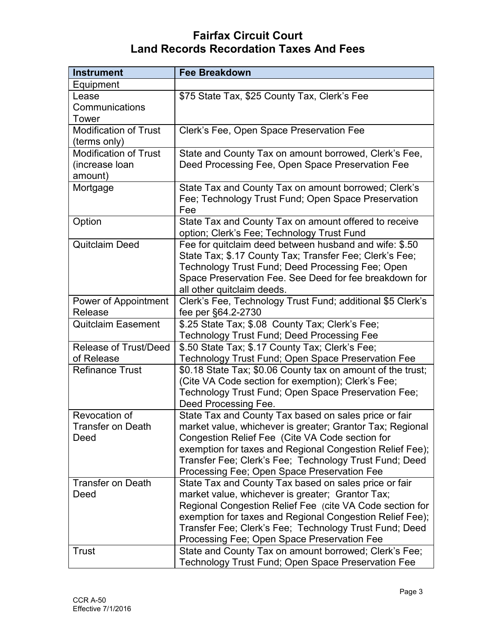| <b>Instrument</b>            | <b>Fee Breakdown</b>                                                                                               |
|------------------------------|--------------------------------------------------------------------------------------------------------------------|
| Equipment                    |                                                                                                                    |
| Lease                        | \$75 State Tax, \$25 County Tax, Clerk's Fee                                                                       |
| Communications               |                                                                                                                    |
| Tower                        |                                                                                                                    |
| <b>Modification of Trust</b> | Clerk's Fee, Open Space Preservation Fee                                                                           |
| (terms only)                 |                                                                                                                    |
| <b>Modification of Trust</b> | State and County Tax on amount borrowed, Clerk's Fee,                                                              |
| (increase loan               | Deed Processing Fee, Open Space Preservation Fee                                                                   |
| amount)                      |                                                                                                                    |
| Mortgage                     | State Tax and County Tax on amount borrowed; Clerk's                                                               |
|                              | Fee; Technology Trust Fund; Open Space Preservation<br>Fee                                                         |
| Option                       | State Tax and County Tax on amount offered to receive                                                              |
|                              | option; Clerk's Fee; Technology Trust Fund                                                                         |
| Quitclaim Deed               | Fee for quitclaim deed between husband and wife: \$.50                                                             |
|                              | State Tax; \$.17 County Tax; Transfer Fee; Clerk's Fee;                                                            |
|                              | Technology Trust Fund; Deed Processing Fee; Open                                                                   |
|                              | Space Preservation Fee. See Deed for fee breakdown for                                                             |
|                              | all other quitclaim deeds.                                                                                         |
| Power of Appointment         | Clerk's Fee, Technology Trust Fund; additional \$5 Clerk's                                                         |
| Release                      | fee per §64.2-2730                                                                                                 |
| <b>Quitclaim Easement</b>    | \$.25 State Tax; \$.08 County Tax; Clerk's Fee;                                                                    |
|                              | <b>Technology Trust Fund; Deed Processing Fee</b>                                                                  |
| <b>Release of Trust/Deed</b> | \$.50 State Tax; \$.17 County Tax; Clerk's Fee;                                                                    |
| of Release                   | Technology Trust Fund; Open Space Preservation Fee                                                                 |
| <b>Refinance Trust</b>       | \$0.18 State Tax; \$0.06 County tax on amount of the trust;                                                        |
|                              | (Cite VA Code section for exemption); Clerk's Fee;                                                                 |
|                              | Technology Trust Fund; Open Space Preservation Fee;                                                                |
| Revocation of                | Deed Processing Fee.                                                                                               |
| Transfer on Death            | State Tax and County Tax based on sales price or fair<br>market value, whichever is greater; Grantor Tax; Regional |
| Deed                         | Congestion Relief Fee (Cite VA Code section for                                                                    |
|                              | exemption for taxes and Regional Congestion Relief Fee);                                                           |
|                              | Transfer Fee; Clerk's Fee; Technology Trust Fund; Deed                                                             |
|                              | Processing Fee; Open Space Preservation Fee                                                                        |
| <b>Transfer on Death</b>     | State Tax and County Tax based on sales price or fair                                                              |
| Deed                         | market value, whichever is greater; Grantor Tax;                                                                   |
|                              | Regional Congestion Relief Fee (cite VA Code section for                                                           |
|                              | exemption for taxes and Regional Congestion Relief Fee);                                                           |
|                              | Transfer Fee; Clerk's Fee; Technology Trust Fund; Deed                                                             |
|                              | Processing Fee; Open Space Preservation Fee                                                                        |
| Trust                        | State and County Tax on amount borrowed; Clerk's Fee;                                                              |
|                              | Technology Trust Fund; Open Space Preservation Fee                                                                 |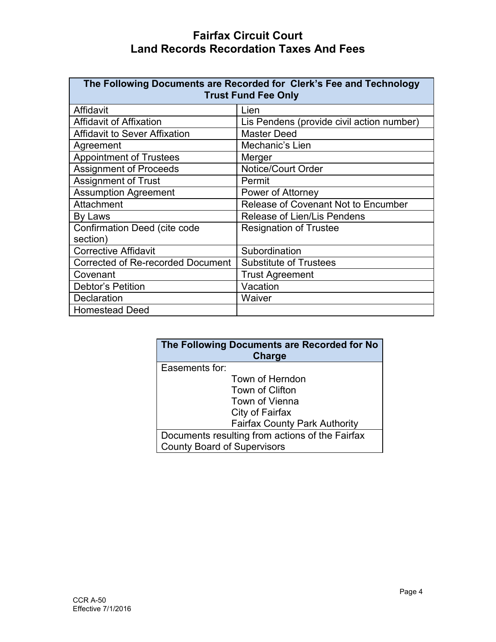| The Following Documents are Recorded for Clerk's Fee and Technology<br><b>Trust Fund Fee Only</b> |                                           |  |  |
|---------------------------------------------------------------------------------------------------|-------------------------------------------|--|--|
| Affidavit                                                                                         | Lien                                      |  |  |
| <b>Affidavit of Affixation</b>                                                                    | Lis Pendens (provide civil action number) |  |  |
| <b>Affidavit to Sever Affixation</b>                                                              | <b>Master Deed</b>                        |  |  |
| Agreement                                                                                         | Mechanic's Lien                           |  |  |
| <b>Appointment of Trustees</b>                                                                    | Merger                                    |  |  |
| <b>Assignment of Proceeds</b>                                                                     | Notice/Court Order                        |  |  |
| <b>Assignment of Trust</b>                                                                        | Permit                                    |  |  |
| <b>Assumption Agreement</b>                                                                       | Power of Attorney                         |  |  |
| Attachment                                                                                        | Release of Covenant Not to Encumber       |  |  |
| By Laws                                                                                           | Release of Lien/Lis Pendens               |  |  |
| Confirmation Deed (cite code                                                                      | <b>Resignation of Trustee</b>             |  |  |
| section)                                                                                          |                                           |  |  |
| <b>Corrective Affidavit</b>                                                                       | Subordination                             |  |  |
| Corrected of Re-recorded Document                                                                 | <b>Substitute of Trustees</b>             |  |  |
| Covenant                                                                                          | <b>Trust Agreement</b>                    |  |  |
| <b>Debtor's Petition</b>                                                                          | Vacation                                  |  |  |
| Declaration                                                                                       | Waiver                                    |  |  |
| <b>Homestead Deed</b>                                                                             |                                           |  |  |

| The Following Documents are Recorded for No<br><b>Charge</b> |  |
|--------------------------------------------------------------|--|
| Easements for:                                               |  |
| Town of Herndon                                              |  |
| Town of Clifton                                              |  |
| Town of Vienna                                               |  |
| City of Fairfax                                              |  |
| <b>Fairfax County Park Authority</b>                         |  |
| Documents resulting from actions of the Fairfax              |  |
| <b>County Board of Supervisors</b>                           |  |